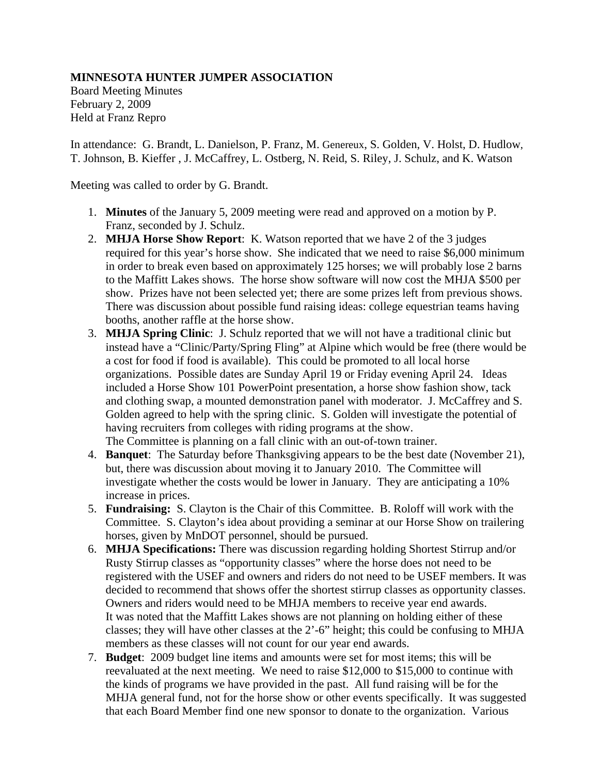## **MINNESOTA HUNTER JUMPER ASSOCIATION**

Board Meeting Minutes February 2, 2009 Held at Franz Repro

In attendance: G. Brandt, L. Danielson, P. Franz, M. Genereux, S. Golden, V. Holst, D. Hudlow, T. Johnson, B. Kieffer , J. McCaffrey, L. Ostberg, N. Reid, S. Riley, J. Schulz, and K. Watson

Meeting was called to order by G. Brandt.

- 1. **Minutes** of the January 5, 2009 meeting were read and approved on a motion by P. Franz, seconded by J. Schulz.
- 2. **MHJA Horse Show Report**: K. Watson reported that we have 2 of the 3 judges required for this year's horse show. She indicated that we need to raise \$6,000 minimum in order to break even based on approximately 125 horses; we will probably lose 2 barns to the Maffitt Lakes shows. The horse show software will now cost the MHJA \$500 per show. Prizes have not been selected yet; there are some prizes left from previous shows. There was discussion about possible fund raising ideas: college equestrian teams having booths, another raffle at the horse show.
- 3. **MHJA Spring Clinic**: J. Schulz reported that we will not have a traditional clinic but instead have a "Clinic/Party/Spring Fling" at Alpine which would be free (there would be a cost for food if food is available). This could be promoted to all local horse organizations. Possible dates are Sunday April 19 or Friday evening April 24. Ideas included a Horse Show 101 PowerPoint presentation, a horse show fashion show, tack and clothing swap, a mounted demonstration panel with moderator. J. McCaffrey and S. Golden agreed to help with the spring clinic. S. Golden will investigate the potential of having recruiters from colleges with riding programs at the show. The Committee is planning on a fall clinic with an out-of-town trainer.
- 4. **Banquet**: The Saturday before Thanksgiving appears to be the best date (November 21), but, there was discussion about moving it to January 2010. The Committee will investigate whether the costs would be lower in January. They are anticipating a 10% increase in prices.
- 5. **Fundraising:** S. Clayton is the Chair of this Committee. B. Roloff will work with the Committee. S. Clayton's idea about providing a seminar at our Horse Show on trailering horses, given by MnDOT personnel, should be pursued.
- 6. **MHJA Specifications:** There was discussion regarding holding Shortest Stirrup and/or Rusty Stirrup classes as "opportunity classes" where the horse does not need to be registered with the USEF and owners and riders do not need to be USEF members. It was decided to recommend that shows offer the shortest stirrup classes as opportunity classes. Owners and riders would need to be MHJA members to receive year end awards. It was noted that the Maffitt Lakes shows are not planning on holding either of these classes; they will have other classes at the 2'-6" height; this could be confusing to MHJA members as these classes will not count for our year end awards.
- 7. **Budget**: 2009 budget line items and amounts were set for most items; this will be reevaluated at the next meeting. We need to raise  $$12,000$  to  $$15,000$  to continue with the kinds of programs we have provided in the past. All fund raising will be for the MHJA general fund, not for the horse show or other events specifically. It was suggested that each Board Member find one new sponsor to donate to the organization. Various